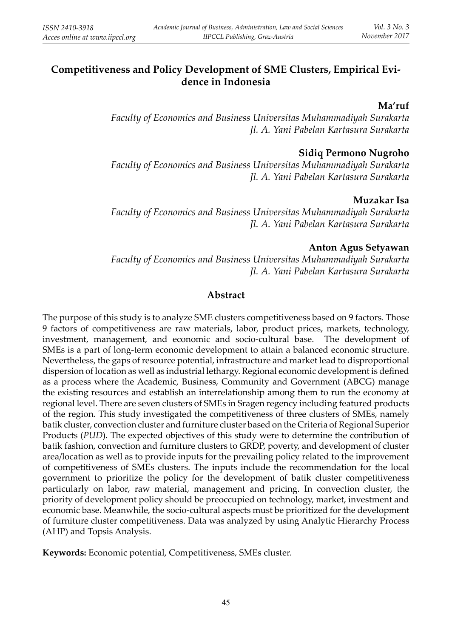# **Competitiveness and Policy Development of SME Clusters, Empirical Evidence in Indonesia**

#### **Ma'ruf**

*Faculty of Economics and Business Universitas Muhammadiyah Surakarta Jl. A. Yani Pabelan Kartasura Surakarta*

#### **Sidiq Permono Nugroho**

*Faculty of Economics and Business Universitas Muhammadiyah Surakarta Jl. A. Yani Pabelan Kartasura Surakarta*

#### **Muzakar Isa**

*Faculty of Economics and Business Universitas Muhammadiyah Surakarta Jl. A. Yani Pabelan Kartasura Surakarta*

#### **Anton Agus Setyawan**

*Faculty of Economics and Business Universitas Muhammadiyah Surakarta Jl. A. Yani Pabelan Kartasura Surakarta*

## **Abstract**

The purpose of this study is to analyze SME clusters competitiveness based on 9 factors. Those 9 factors of competitiveness are raw materials, labor, product prices, markets, technology, investment, management, and economic and socio-cultural base. The development of SMEs is a part of long-term economic development to attain a balanced economic structure. Nevertheless, the gaps of resource potential, infrastructure and market lead to disproportional dispersion of location as well as industrial lethargy. Regional economic development is defined as a process where the Academic, Business, Community and Government (ABCG) manage the existing resources and establish an interrelationship among them to run the economy at regional level. There are seven clusters of SMEs in Sragen regency including featured products of the region. This study investigated the competitiveness of three clusters of SMEs, namely batik cluster, convection cluster and furniture cluster based on the Criteria of Regional Superior Products (*PUD*). The expected objectives of this study were to determine the contribution of batik fashion, convection and furniture clusters to GRDP, poverty, and development of cluster area/location as well as to provide inputs for the prevailing policy related to the improvement of competitiveness of SMEs clusters. The inputs include the recommendation for the local government to prioritize the policy for the development of batik cluster competitiveness particularly on labor, raw material, management and pricing. In convection cluster, the priority of development policy should be preoccupied on technology, market, investment and economic base. Meanwhile, the socio-cultural aspects must be prioritized for the development of furniture cluster competitiveness. Data was analyzed by using Analytic Hierarchy Process (AHP) and Topsis Analysis.

**Keywords:** Economic potential, Competitiveness, SMEs cluster.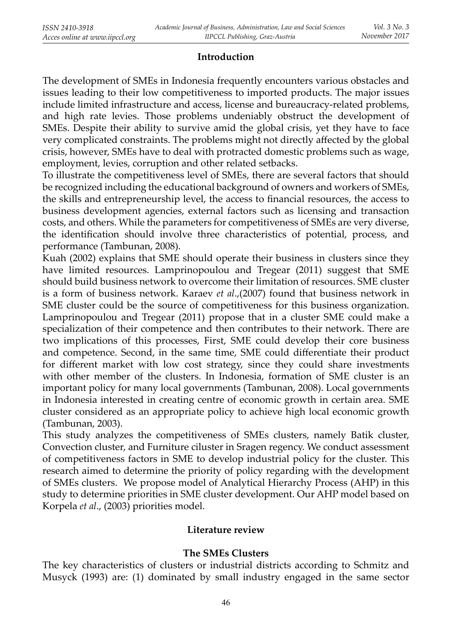#### **Introduction**

The development of SMEs in Indonesia frequently encounters various obstacles and issues leading to their low competitiveness to imported products. The major issues include limited infrastructure and access, license and bureaucracy-related problems, and high rate levies. Those problems undeniably obstruct the development of SMEs. Despite their ability to survive amid the global crisis, yet they have to face very complicated constraints. The problems might not directly affected by the global crisis, however, SMEs have to deal with protracted domestic problems such as wage, employment, levies, corruption and other related setbacks.

To illustrate the competitiveness level of SMEs, there are several factors that should be recognized including the educational background of owners and workers of SMEs, the skills and entrepreneurship level, the access to financial resources, the access to business development agencies, external factors such as licensing and transaction costs, and others. While the parameters for competitiveness of SMEs are very diverse, the identification should involve three characteristics of potential, process, and performance (Tambunan, 2008).

Kuah (2002) explains that SME should operate their business in clusters since they have limited resources. Lamprinopoulou and Tregear (2011) suggest that SME should build business network to overcome their limitation of resources. SME cluster is a form of business network. Karaev *et al*.,(2007) found that business network in SME cluster could be the source of competitiveness for this business organization. Lamprinopoulou and Tregear (2011) propose that in a cluster SME could make a specialization of their competence and then contributes to their network. There are two implications of this processes, First, SME could develop their core business and competence. Second, in the same time, SME could differentiate their product for different market with low cost strategy, since they could share investments with other member of the clusters. In Indonesia, formation of SME cluster is an important policy for many local governments (Tambunan, 2008). Local governments in Indonesia interested in creating centre of economic growth in certain area. SME cluster considered as an appropriate policy to achieve high local economic growth (Tambunan, 2003).

This study analyzes the competitiveness of SMEs clusters, namely Batik cluster, Convection cluster, and Furniture ciluster in Sragen regency. We conduct assessment of competitiveness factors in SME to develop industrial policy for the cluster. This research aimed to determine the priority of policy regarding with the development of SMEs clusters. We propose model of Analytical Hierarchy Process (AHP) in this study to determine priorities in SME cluster development. Our AHP model based on Korpela *et al*., (2003) priorities model.

#### **Literature review**

#### **The SMEs Clusters**

The key characteristics of clusters or industrial districts according to Schmitz and Musyck (1993) are: (1) dominated by small industry engaged in the same sector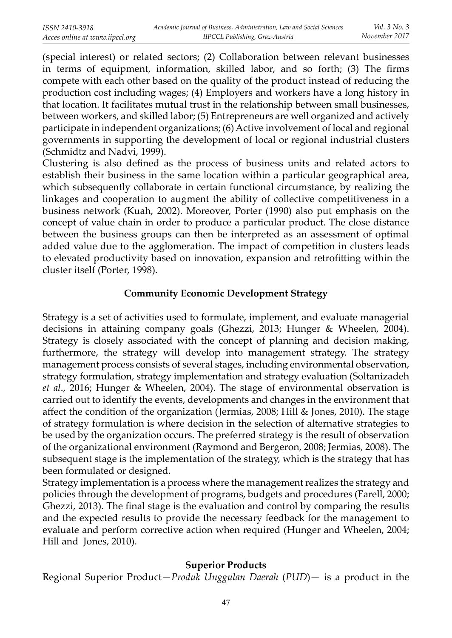(special interest) or related sectors; (2) Collaboration between relevant businesses in terms of equipment, information, skilled labor, and so forth; (3) The firms compete with each other based on the quality of the product instead of reducing the production cost including wages; (4) Employers and workers have a long history in that location. It facilitates mutual trust in the relationship between small businesses, between workers, and skilled labor; (5) Entrepreneurs are well organized and actively participate in independent organizations; (6) Active involvement of local and regional governments in supporting the development of local or regional industrial clusters (Schmidtz and Nadvi, 1999).

Clustering is also defined as the process of business units and related actors to establish their business in the same location within a particular geographical area, which subsequently collaborate in certain functional circumstance, by realizing the linkages and cooperation to augment the ability of collective competitiveness in a business network (Kuah, 2002). Moreover, Porter (1990) also put emphasis on the concept of value chain in order to produce a particular product. The close distance between the business groups can then be interpreted as an assessment of optimal added value due to the agglomeration. The impact of competition in clusters leads to elevated productivity based on innovation, expansion and retrofitting within the cluster itself (Porter, 1998).

## **Community Economic Development Strategy**

Strategy is a set of activities used to formulate, implement, and evaluate managerial decisions in attaining company goals (Ghezzi, 2013; Hunger & Wheelen, 2004). Strategy is closely associated with the concept of planning and decision making, furthermore, the strategy will develop into management strategy. The strategy management process consists of several stages, including environmental observation, strategy formulation, strategy implementation and strategy evaluation (Soltanizadeh *et al*., 2016; Hunger & Wheelen, 2004). The stage of environmental observation is carried out to identify the events, developments and changes in the environment that affect the condition of the organization (Jermias, 2008; Hill & Jones, 2010). The stage of strategy formulation is where decision in the selection of alternative strategies to be used by the organization occurs. The preferred strategy is the result of observation of the organizational environment (Raymond and Bergeron, 2008; Jermias, 2008). The subsequent stage is the implementation of the strategy, which is the strategy that has been formulated or designed.

Strategy implementation is a process where the management realizes the strategy and policies through the development of programs, budgets and procedures (Farell, 2000; Ghezzi, 2013). The final stage is the evaluation and control by comparing the results and the expected results to provide the necessary feedback for the management to evaluate and perform corrective action when required (Hunger and Wheelen, 2004; Hill and Jones, 2010).

## **Superior Products**

Regional Superior Product—*Produk Unggulan Daerah* (*PUD*)— is a product in the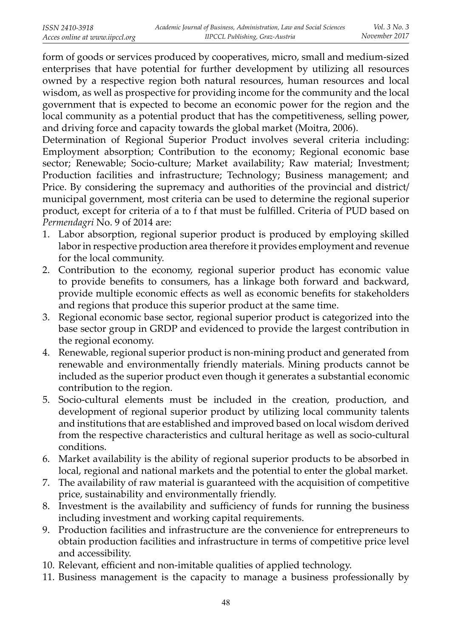form of goods or services produced by cooperatives, micro, small and medium-sized enterprises that have potential for further development by utilizing all resources owned by a respective region both natural resources, human resources and local wisdom, as well as prospective for providing income for the community and the local government that is expected to become an economic power for the region and the local community as a potential product that has the competitiveness, selling power, and driving force and capacity towards the global market (Moitra, 2006).

Determination of Regional Superior Product involves several criteria including: Employment absorption; Contribution to the economy; Regional economic base sector; Renewable; Socio-culture; Market availability; Raw material; Investment; Production facilities and infrastructure; Technology; Business management; and Price. By considering the supremacy and authorities of the provincial and district/ municipal government, most criteria can be used to determine the regional superior product, except for criteria of a to f that must be fulfilled. Criteria of PUD based on *Permendagri* No. 9 of 2014 are:

- 1. Labor absorption, regional superior product is produced by employing skilled labor in respective production area therefore it provides employment and revenue for the local community.
- 2. Contribution to the economy, regional superior product has economic value to provide benefits to consumers, has a linkage both forward and backward, provide multiple economic effects as well as economic benefits for stakeholders and regions that produce this superior product at the same time.
- 3. Regional economic base sector, regional superior product is categorized into the base sector group in GRDP and evidenced to provide the largest contribution in the regional economy.
- 4. Renewable, regional superior product is non-mining product and generated from renewable and environmentally friendly materials. Mining products cannot be included as the superior product even though it generates a substantial economic contribution to the region.
- 5. Socio-cultural elements must be included in the creation, production, and development of regional superior product by utilizing local community talents and institutions that are established and improved based on local wisdom derived from the respective characteristics and cultural heritage as well as socio-cultural conditions.
- 6. Market availability is the ability of regional superior products to be absorbed in local, regional and national markets and the potential to enter the global market.
- 7. The availability of raw material is guaranteed with the acquisition of competitive price, sustainability and environmentally friendly.
- 8. Investment is the availability and sufficiency of funds for running the business including investment and working capital requirements.
- 9. Production facilities and infrastructure are the convenience for entrepreneurs to obtain production facilities and infrastructure in terms of competitive price level and accessibility.
- 10. Relevant, efficient and non-imitable qualities of applied technology.
- 11. Business management is the capacity to manage a business professionally by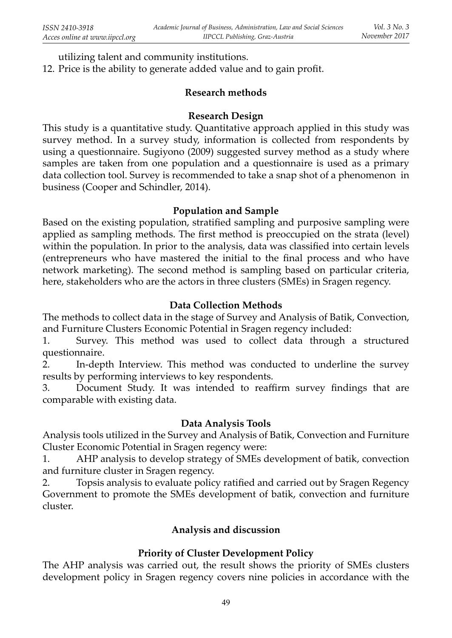utilizing talent and community institutions.

12. Price is the ability to generate added value and to gain profit.

#### **Research methods**

#### **Research Design**

This study is a quantitative study. Quantitative approach applied in this study was survey method. In a survey study, information is collected from respondents by using a questionnaire. Sugiyono (2009) suggested survey method as a study where samples are taken from one population and a questionnaire is used as a primary data collection tool. Survey is recommended to take a snap shot of a phenomenon in business (Cooper and Schindler, 2014).

#### **Population and Sample**

Based on the existing population, stratified sampling and purposive sampling were applied as sampling methods. The first method is preoccupied on the strata (level) within the population. In prior to the analysis, data was classified into certain levels (entrepreneurs who have mastered the initial to the final process and who have network marketing). The second method is sampling based on particular criteria, here, stakeholders who are the actors in three clusters (SMEs) in Sragen regency.

## **Data Collection Methods**

The methods to collect data in the stage of Survey and Analysis of Batik, Convection, and Furniture Clusters Economic Potential in Sragen regency included:

1. Survey. This method was used to collect data through a structured questionnaire.

2. In-depth Interview. This method was conducted to underline the survey results by performing interviews to key respondents.

3. Document Study. It was intended to reaffirm survey findings that are comparable with existing data.

## **Data Analysis Tools**

Analysis tools utilized in the Survey and Analysis of Batik, Convection and Furniture Cluster Economic Potential in Sragen regency were:

1. AHP analysis to develop strategy of SMEs development of batik, convection and furniture cluster in Sragen regency.

2. Topsis analysis to evaluate policy ratified and carried out by Sragen Regency Government to promote the SMEs development of batik, convection and furniture cluster.

## **Analysis and discussion**

## **Priority of Cluster Development Policy**

The AHP analysis was carried out, the result shows the priority of SMEs clusters development policy in Sragen regency covers nine policies in accordance with the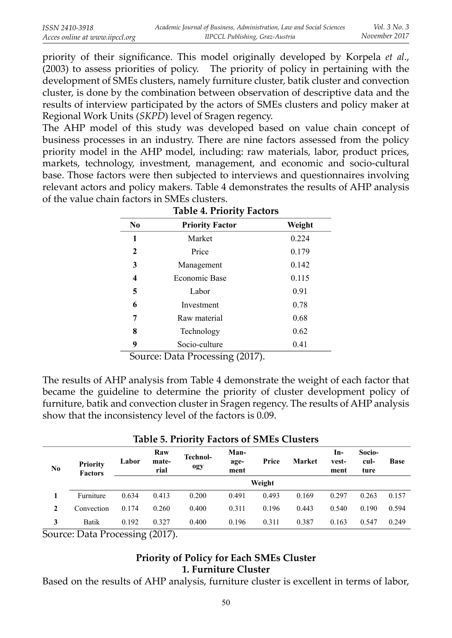priority of their significance. This model originally developed by Korpela *et al.*, (2003) to assess priorities of policy. The priority of policy in pertaining with the development of SMEs clusters, namely furniture cluster, batik cluster and convection cluster, is done by the combination between observation of descriptive data and the results of interview participated by the actors of SMEs clusters and policy maker at Regional Work Units (*SKPD*) level of Sragen regency.

The AHP model of this study was developed based on value chain concept of business processes in an industry. There are nine factors assessed from the policy priority model in the AHP model, including: raw materials, labor, product prices, markets, technology, investment, management, and economic and socio-cultural base. Those factors were then subjected to interviews and questionnaires involving relevant actors and policy makers. Table 4 demonstrates the results of AHP analysis of the value chain factors in SMEs clusters.

| N <sub>0</sub> | <b>Priority Factor</b> | Weight |
|----------------|------------------------|--------|
| 1              | Market                 | 0.224  |
| 2              | Price                  | 0.179  |
| 3              | Management             | 0.142  |
| 4              | <b>Economic Base</b>   | 0.115  |
| 5              | Labor                  | 0.91   |
| 6              | Investment             | 0.78   |
| 7              | Raw material           | 0.68   |
| 8              | Technology             | 0.62   |
| 9              | Socio-culture          | 0.41   |

Source: Data Processing (2017).

The results of AHP analysis from Table 4 demonstrate the weight of each factor that became the guideline to determine the priority of cluster development policy of furniture, batik and convection cluster in Sragen regency. The results of AHP analysis show that the inconsistency level of the factors is 0.09.

| <b>Priority</b><br>No<br><b>Factors</b> |            | Labor         | Raw<br>mate-<br>rial               | <b>Technol-</b><br>ogy | Man-<br>age-<br>ment | Price  | Market | In-<br>vest-<br>ment | Socio-<br>cul-<br>ture | <b>Base</b> |
|-----------------------------------------|------------|---------------|------------------------------------|------------------------|----------------------|--------|--------|----------------------|------------------------|-------------|
|                                         |            |               |                                    |                        |                      | Weight |        |                      |                        |             |
|                                         | Furniture  | 0.634         | 0.413                              | 0.200                  | 0.491                | 0.493  | 0.169  | 0.297                | 0.263                  | 0.157       |
| $\mathbf 2$                             | Convection | 0.174         | 0.260                              | 0.400                  | 0.311                | 0.196  | 0.443  | 0.540                | 0.190                  | 0.594       |
| 3                                       | Batik      | 0.192         | 0.327                              | 0.400                  | 0.196                | 0.311  | 0.387  | 0.163                | 0.547                  | 0.249       |
| $\sim$                                  | ___        | $\sim$ $\sim$ | $\sim$ $\sim$ $\sim$ $\sim$ $\sim$ |                        |                      |        |        |                      |                        |             |

## **Table 5. Priority Factors of SMEs Clusters**

Source: Data Processing (2017).

## **Priority of Policy for Each SMEs Cluster 1. Furniture Cluster**

Based on the results of AHP analysis, furniture cluster is excellent in terms of labor,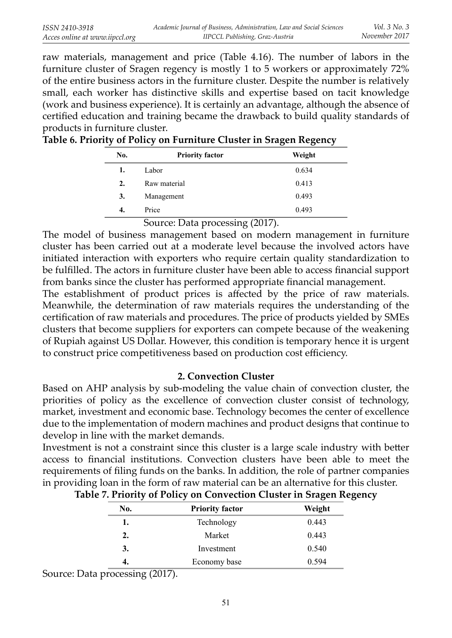raw materials, management and price (Table 4.16). The number of labors in the furniture cluster of Sragen regency is mostly 1 to 5 workers or approximately 72% of the entire business actors in the furniture cluster. Despite the number is relatively small, each worker has distinctive skills and expertise based on tacit knowledge (work and business experience). It is certainly an advantage, although the absence of certified education and training became the drawback to build quality standards of products in furniture cluster.

| No. | <b>Priority factor</b>                                | Weight |
|-----|-------------------------------------------------------|--------|
| 1.  | Labor                                                 | 0.634  |
| 2.  | Raw material                                          | 0.413  |
| 3.  | Management                                            | 0.493  |
| 4.  | Price                                                 | 0.493  |
|     | $\mathcal{L}_{\text{OIII201}}$ Dete processing (2017) |        |

|  | Table 6. Priority of Policy on Furniture Cluster in Sragen Regency |  |  |
|--|--------------------------------------------------------------------|--|--|
|  |                                                                    |  |  |

 Source: Data processing (2017). The model of business management based on modern management in furniture cluster has been carried out at a moderate level because the involved actors have initiated interaction with exporters who require certain quality standardization to be fulfilled. The actors in furniture cluster have been able to access financial support from banks since the cluster has performed appropriate financial management.

The establishment of product prices is affected by the price of raw materials. Meanwhile, the determination of raw materials requires the understanding of the certification of raw materials and procedures. The price of products yielded by SMEs clusters that become suppliers for exporters can compete because of the weakening of Rupiah against US Dollar. However, this condition is temporary hence it is urgent to construct price competitiveness based on production cost efficiency.

## **2. Convection Cluster**

Based on AHP analysis by sub-modeling the value chain of convection cluster, the priorities of policy as the excellence of convection cluster consist of technology, market, investment and economic base. Technology becomes the center of excellence due to the implementation of modern machines and product designs that continue to develop in line with the market demands.

Investment is not a constraint since this cluster is a large scale industry with better access to financial institutions. Convection clusters have been able to meet the requirements of filing funds on the banks. In addition, the role of partner companies in providing loan in the form of raw material can be an alternative for this cluster.

| No. | <b>Priority factor</b> | Weight |
|-----|------------------------|--------|
| 1.  | Technology             | 0.443  |
| 2.  | Market                 | 0.443  |
| 3.  | Investment             | 0.540  |
| 4.  | Economy base           | 0.594  |

|  |  | Table 7. Priority of Policy on Convection Cluster in Sragen Regency |  |  |
|--|--|---------------------------------------------------------------------|--|--|
|  |  |                                                                     |  |  |

Source: Data processing (2017).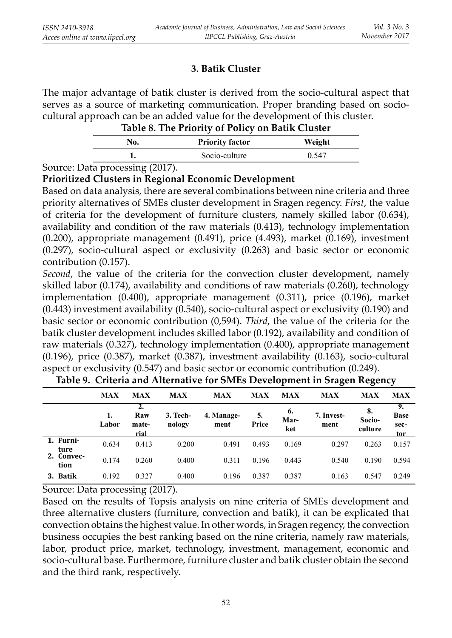## **3. Batik Cluster**

The major advantage of batik cluster is derived from the socio-cultural aspect that serves as a source of marketing communication. Proper branding based on sociocultural approach can be an added value for the development of this cluster.

|  | Table 8. The Priority of Policy on Batik Cluster |
|--|--------------------------------------------------|
|  |                                                  |

|                                                 | <b>Priority factor</b> | Weight |
|-------------------------------------------------|------------------------|--------|
|                                                 | Socio-culture          |        |
| .<br><b>Contract Contract Contract Contract</b> |                        |        |

Source: Data processing (2017).

## **Prioritized Clusters in Regional Economic Development**

Based on data analysis, there are several combinations between nine criteria and three priority alternatives of SMEs cluster development in Sragen regency. *First*, the value of criteria for the development of furniture clusters, namely skilled labor (0.634), availability and condition of the raw materials (0.413), technology implementation (0.200), appropriate management (0.491), price (4.493), market (0.169), investment (0.297), socio-cultural aspect or exclusivity (0.263) and basic sector or economic contribution (0.157).

*Second*, the value of the criteria for the convection cluster development, namely skilled labor (0.174), availability and conditions of raw materials (0.260), technology implementation (0.400), appropriate management (0.311), price (0.196), market (0.443) investment availability (0.540), socio-cultural aspect or exclusivity (0.190) and basic sector or economic contribution (0,594). *Third*, the value of the criteria for the batik cluster development includes skilled labor (0.192), availability and condition of raw materials (0.327), technology implementation (0.400), appropriate management (0.196), price (0.387), market (0.387), investment availability (0.163), socio-cultural aspect or exclusivity (0.547) and basic sector or economic contribution (0.249).

|                    | <b>MAX</b> | <b>MAX</b>           | <b>MAX</b>         | <b>MAX</b>         | <b>MAX</b>  | <b>MAX</b>        | <b>MAX</b>         | <b>MAX</b>              | <b>MAX</b>                       |
|--------------------|------------|----------------------|--------------------|--------------------|-------------|-------------------|--------------------|-------------------------|----------------------------------|
|                    | Labor      | Raw<br>mate-<br>rial | 3. Tech-<br>nology | 4. Manage-<br>ment | 5.<br>Price | 6.<br>Mar-<br>ket | 7. Invest-<br>ment | 8.<br>Socio-<br>culture | 9.<br><b>Base</b><br>sec-<br>tor |
| 1. Furni-<br>ture  | 0.634      | 0.413                | 0.200              | 0.491              | 0.493       | 0.169             | 0.297              | 0.263                   | 0.157                            |
| 2. Convec-<br>tion | 0.174      | 0.260                | 0.400              | 0.311              | 0.196       | 0.443             | 0.540              | 0.190                   | 0.594                            |
| 3. Batik           | 0.192      | 0.327                | 0.400              | 0.196              | 0.387       | 0.387             | 0.163              | 0.547                   | 0.249                            |

**Table 9. Criteria and Alternative for SMEs Development in Sragen Regency**

Source: Data processing (2017).

Based on the results of Topsis analysis on nine criteria of SMEs development and three alternative clusters (furniture, convection and batik), it can be explicated that convection obtains the highest value. In other words, in Sragen regency, the convection business occupies the best ranking based on the nine criteria, namely raw materials, labor, product price, market, technology, investment, management, economic and socio-cultural base. Furthermore, furniture cluster and batik cluster obtain the second and the third rank, respectively.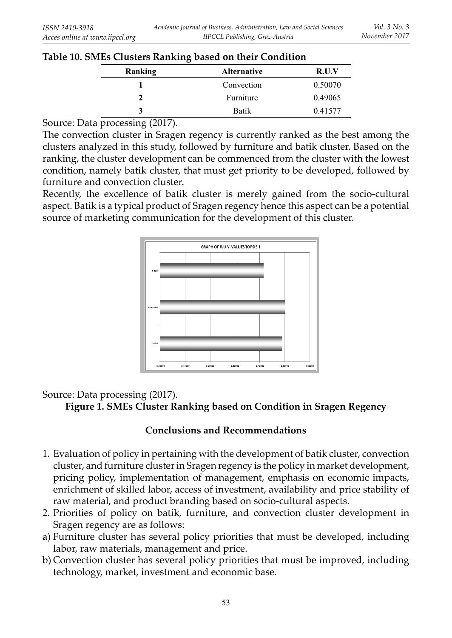| Table 10. SMEs Clusters Ranking based on their Condition |  |
|----------------------------------------------------------|--|
|----------------------------------------------------------|--|

| Ranking | <b>Alternative</b> | R.U.V   |
|---------|--------------------|---------|
|         | Convection         | 0.50070 |
|         | Furniture          | 0.49065 |
| 3       | Batik              | 0.41577 |

Source: Data processing (2017).

The convection cluster in Sragen regency is currently ranked as the best among the clusters analyzed in this study, followed by furniture and batik cluster. Based on the ranking, the cluster development can be commenced from the cluster with the lowest condition, namely batik cluster, that must get priority to be developed, followed by furniture and convection cluster.

Recently, the excellence of batik cluster is merely gained from the socio-cultural aspect. Batik is a typical product of Sragen regency hence this aspect can be a potential source of marketing communication for the development of this cluster.



## Source: Data processing (2017).

**Figure 1. SMEs Cluster Ranking based on Condition in Sragen Regency**

## **Conclusions and Recommendations**

- 1. Evaluation of policy in pertaining with the development of batik cluster, convection cluster, and furniture cluster in Sragen regency is the policy in market development, pricing policy, implementation of management, emphasis on economic impacts, enrichment of skilled labor, access of investment, availability and price stability of raw material, and product branding based on socio-cultural aspects.
- 2. Priorities of policy on batik, furniture, and convection cluster development in Sragen regency are as follows:
- a) Furniture cluster has several policy priorities that must be developed, including labor, raw materials, management and price.
- b) Convection cluster has several policy priorities that must be improved, including technology, market, investment and economic base.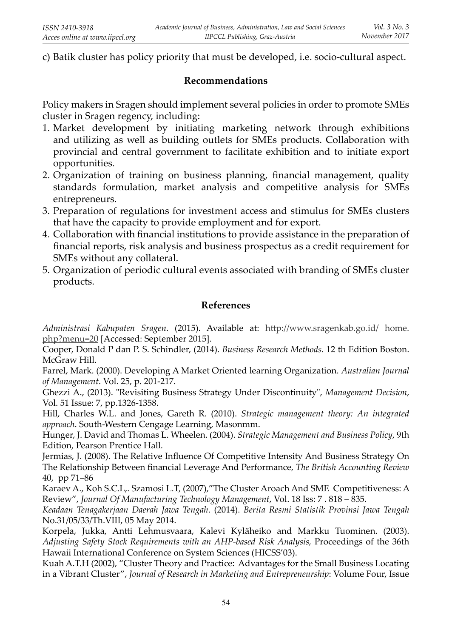c) Batik cluster has policy priority that must be developed, i.e. socio-cultural aspect.

## **Recommendations**

Policy makers in Sragen should implement several policies in order to promote SMEs cluster in Sragen regency, including:

- 1. Market development by initiating marketing network through exhibitions and utilizing as well as building outlets for SMEs products. Collaboration with provincial and central government to facilitate exhibition and to initiate export opportunities.
- 2. Organization of training on business planning, financial management, quality standards formulation, market analysis and competitive analysis for SMEs entrepreneurs.
- 3. Preparation of regulations for investment access and stimulus for SMEs clusters that have the capacity to provide employment and for export.
- 4. Collaboration with financial institutions to provide assistance in the preparation of financial reports, risk analysis and business prospectus as a credit requirement for SMEs without any collateral.
- 5. Organization of periodic cultural events associated with branding of SMEs cluster products.

## **References**

Administrasi Kabupaten Sragen. (2015). Available at: http://www.sragenkab.go.id/ home. php?menu=20 [Accessed: September 2015].

Cooper, Donald P dan P. S. Schindler, (2014). *Business Research Methods*. 12 th Edition Boston. McGraw Hill.

Farrel, Mark. (2000). Developing A Market Oriented learning Organization. *Australian Journal of Management*. Vol. 25, p. 201-217.

Ghezzi A., (2013). "Revisiting Business Strategy Under Discontinuity", *Management Decision*, Vol. 51 Issue: 7, pp.1326-1358.

Hill, Charles W.L. and Jones, Gareth R. (2010). *Strategic management theory: An integrated approach*. South-Western Cengage Learning, Masonmm.

Hunger, J. David and Thomas L. Wheelen. (2004). *Strategic Management and Business Policy*, 9th Edition, Pearson Prentice Hall.

Jermias, J. (2008). The Relative Influence Of Competitive Intensity And Business Strategy On The Relationship Between financial Leverage And Performance, *The British Accounting Review* 40, pp 71–86

Karaev A., Koh S.C.L,. Szamosi L.T, (2007),"The Cluster Aroach And SME Competitiveness: A Review", *Journal Of Manufacturing Technology Management*, Vol. 18 Iss: 7 . 818 – 835.

*Keadaan Tenagakerjaan Daerah Jawa Tengah*. (2014). *Berita Resmi Statistik Provinsi Jawa Tengah* No.31/05/33/Th.VIII, 05 May 2014.

Korpela, Jukka, Antti Lehmusvaara, Kalevi Kyläheiko and Markku Tuominen. (2003). *Adjusting Safety Stock Requirements with an AHP-based Risk Analysis,* Proceedings of the 36th Hawaii International Conference on System Sciences (HICSS'03).

Kuah A.T.H (2002), "Cluster Theory and Practice: Advantages for the Small Business Locating in a Vibrant Cluster", *Journal of Research in Marketing and Entrepreneurship*: Volume Four, Issue